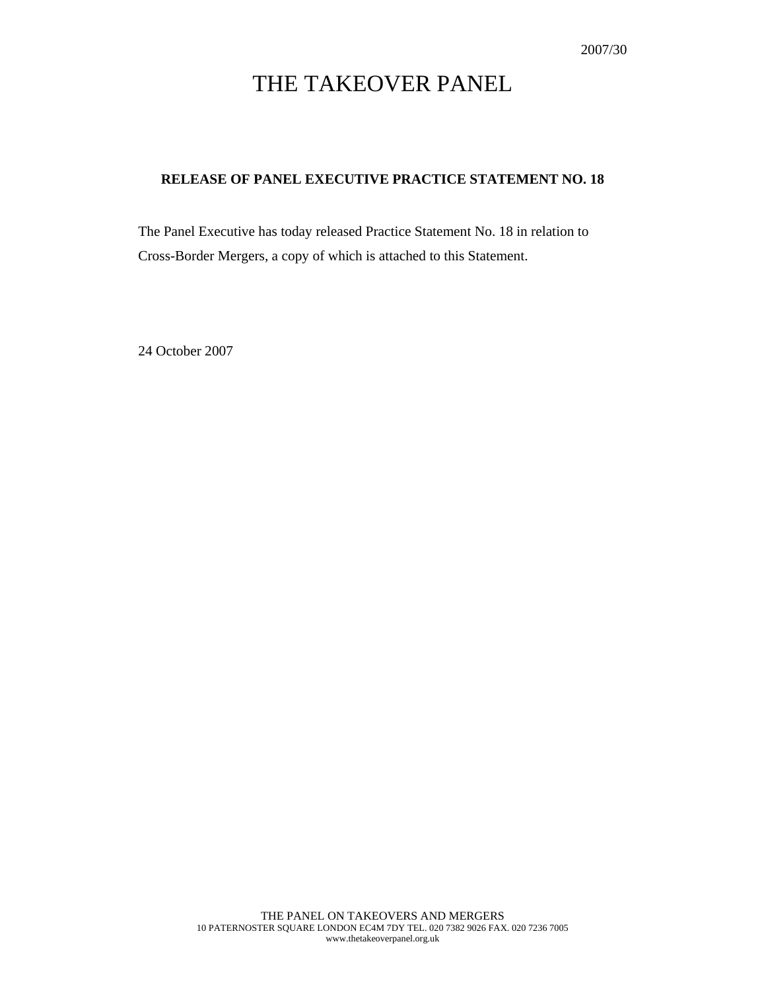# THE TAKEOVER PANEL

# **RELEASE OF PANEL EXECUTIVE PRACTICE STATEMENT NO. 18**

The Panel Executive has today released Practice Statement No. 18 in relation to Cross-Border Mergers, a copy of which is attached to this Statement.

24 October 2007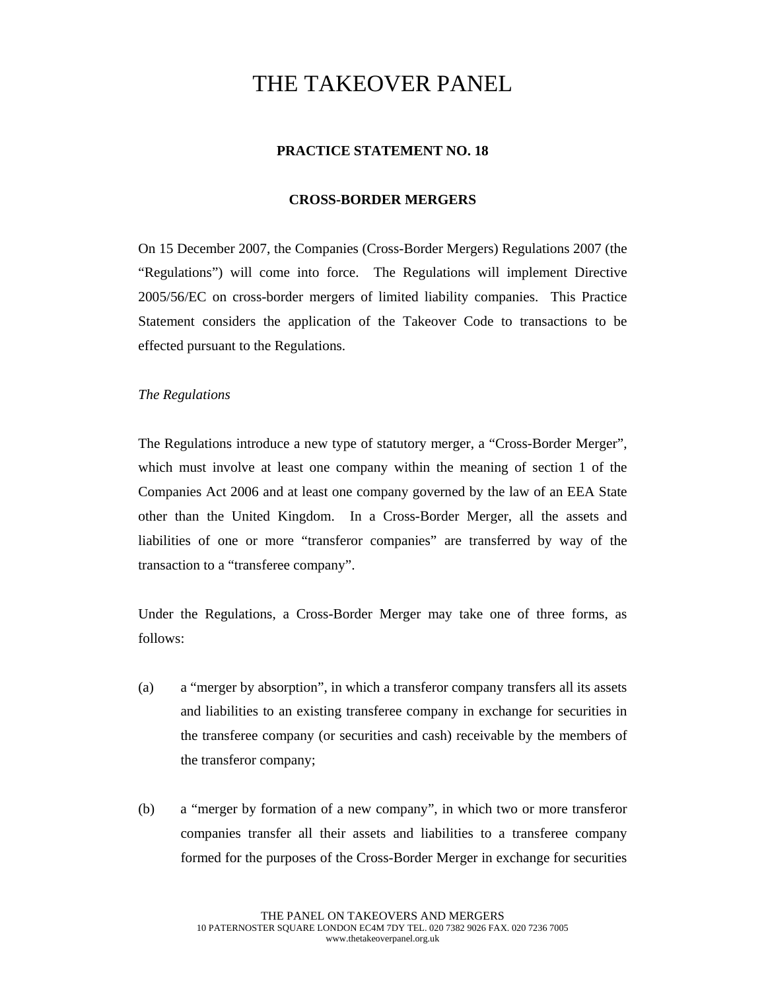# THE TAKEOVER PANEL

## **PRACTICE STATEMENT NO. 18**

### **CROSS-BORDER MERGERS**

On 15 December 2007, the Companies (Cross-Border Mergers) Regulations 2007 (the "Regulations") will come into force. The Regulations will implement Directive 2005/56/EC on cross-border mergers of limited liability companies. This Practice Statement considers the application of the Takeover Code to transactions to be effected pursuant to the Regulations.

### *The Regulations*

The Regulations introduce a new type of statutory merger, a "Cross-Border Merger", which must involve at least one company within the meaning of section 1 of the Companies Act 2006 and at least one company governed by the law of an EEA State other than the United Kingdom. In a Cross-Border Merger, all the assets and liabilities of one or more "transferor companies" are transferred by way of the transaction to a "transferee company".

Under the Regulations, a Cross-Border Merger may take one of three forms, as follows:

- (a) a "merger by absorption", in which a transferor company transfers all its assets and liabilities to an existing transferee company in exchange for securities in the transferee company (or securities and cash) receivable by the members of the transferor company;
- (b) a "merger by formation of a new company", in which two or more transferor companies transfer all their assets and liabilities to a transferee company formed for the purposes of the Cross-Border Merger in exchange for securities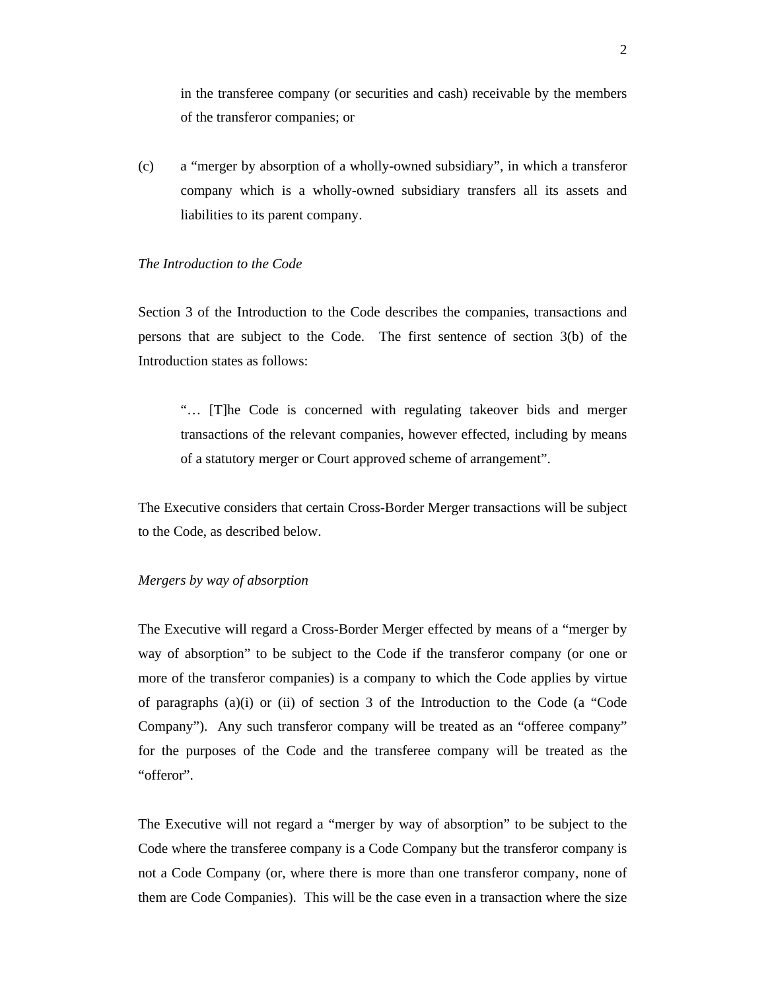in the transferee company (or securities and cash) receivable by the members of the transferor companies; or

(c) a "merger by absorption of a wholly-owned subsidiary", in which a transferor company which is a wholly-owned subsidiary transfers all its assets and liabilities to its parent company.

#### *The Introduction to the Code*

Section 3 of the Introduction to the Code describes the companies, transactions and persons that are subject to the Code. The first sentence of section 3(b) of the Introduction states as follows:

"… [T]he Code is concerned with regulating takeover bids and merger transactions of the relevant companies, however effected, including by means of a statutory merger or Court approved scheme of arrangement".

The Executive considers that certain Cross-Border Merger transactions will be subject to the Code, as described below.

#### *Mergers by way of absorption*

The Executive will regard a Cross-Border Merger effected by means of a "merger by way of absorption" to be subject to the Code if the transferor company (or one or more of the transferor companies) is a company to which the Code applies by virtue of paragraphs (a)(i) or (ii) of section 3 of the Introduction to the Code (a "Code Company"). Any such transferor company will be treated as an "offeree company" for the purposes of the Code and the transferee company will be treated as the "offeror".

The Executive will not regard a "merger by way of absorption" to be subject to the Code where the transferee company is a Code Company but the transferor company is not a Code Company (or, where there is more than one transferor company, none of them are Code Companies). This will be the case even in a transaction where the size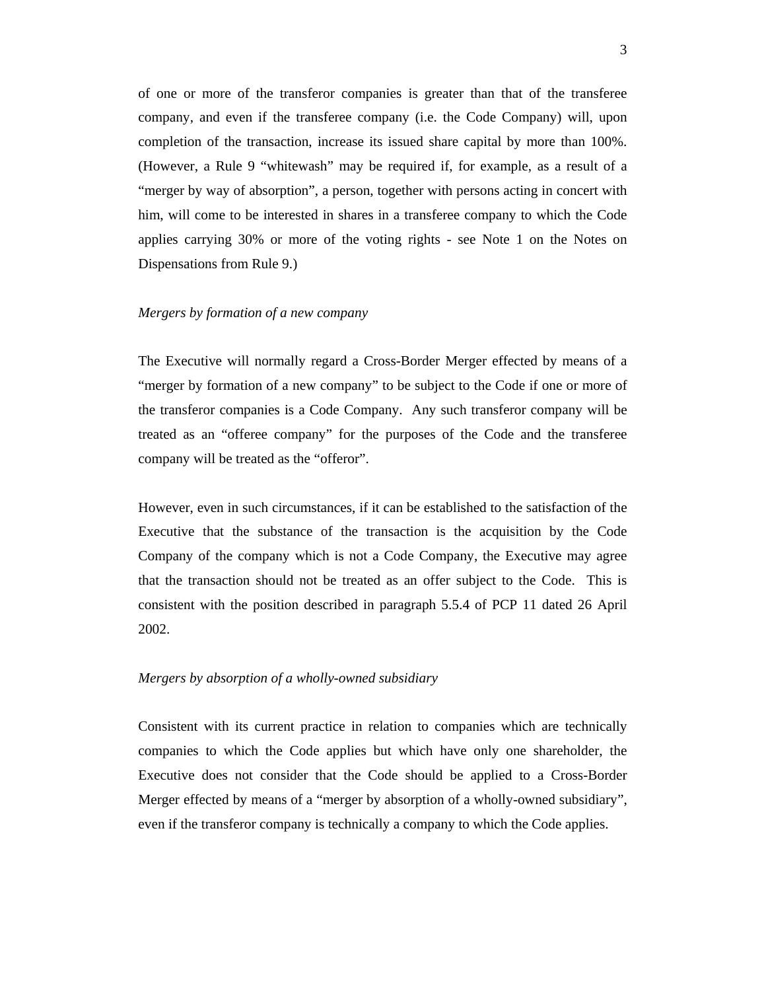of one or more of the transferor companies is greater than that of the transferee company, and even if the transferee company (i.e. the Code Company) will, upon completion of the transaction, increase its issued share capital by more than 100%. (However, a Rule 9 "whitewash" may be required if, for example, as a result of a "merger by way of absorption", a person, together with persons acting in concert with him, will come to be interested in shares in a transferee company to which the Code applies carrying 30% or more of the voting rights - see Note 1 on the Notes on Dispensations from Rule 9.)

#### *Mergers by formation of a new company*

The Executive will normally regard a Cross-Border Merger effected by means of a "merger by formation of a new company" to be subject to the Code if one or more of the transferor companies is a Code Company. Any such transferor company will be treated as an "offeree company" for the purposes of the Code and the transferee company will be treated as the "offeror".

However, even in such circumstances, if it can be established to the satisfaction of the Executive that the substance of the transaction is the acquisition by the Code Company of the company which is not a Code Company, the Executive may agree that the transaction should not be treated as an offer subject to the Code. This is consistent with the position described in paragraph 5.5.4 of PCP 11 dated 26 April 2002.

#### *Mergers by absorption of a wholly-owned subsidiary*

Consistent with its current practice in relation to companies which are technically companies to which the Code applies but which have only one shareholder, the Executive does not consider that the Code should be applied to a Cross-Border Merger effected by means of a "merger by absorption of a wholly-owned subsidiary", even if the transferor company is technically a company to which the Code applies.